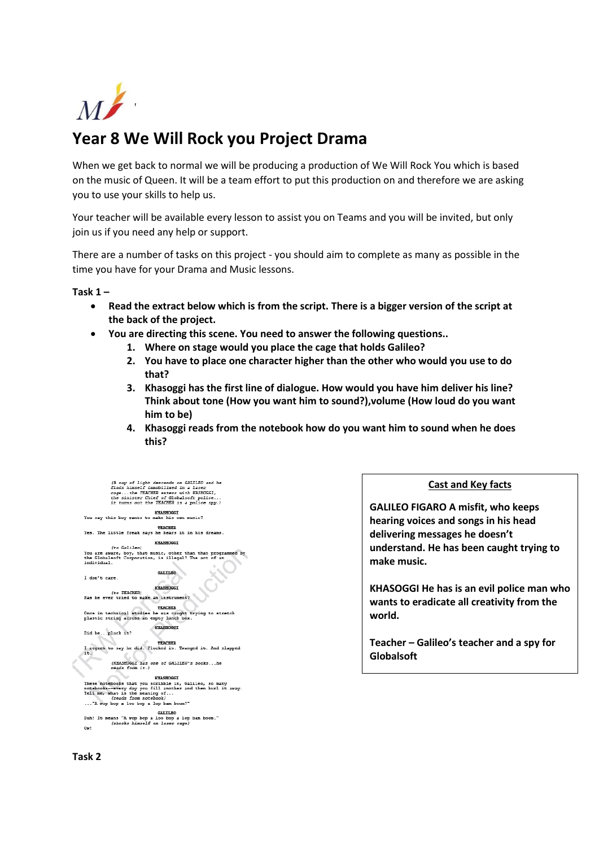

## **Year 8 We Will Rock you Project Drama**

When we get back to normal we will be producing a production of We Will Rock You which is based on the music of Queen. It will be a team effort to put this production on and therefore we are asking you to use your skills to help us.

Your teacher will be available every lesson to assist you on Teams and you will be invited, but only join us if you need any help or support.

There are a number of tasks on this project - you should aim to complete as many as possible in the time you have for your Drama and Music lessons.

**Task 1 –**

- **Read the extract below which is from the script. There is a bigger version of the script at the back of the project.**
- **You are directing this scene. You need to answer the following questions..**
	- **1. Where on stage would you place the cage that holds Galileo?**
		- **2. You have to place one character higher than the other who would you use to do that?**
		- **3. Khasoggi has the first line of dialogue. How would you have him deliver his line? Think about tone (How you want him to sound?),volume (How loud do you want him to be)**
		- **4. Khasoggi reads from the notebook how do you want him to sound when he does this?**

| (A ray of light descends on GALILEO and he<br>finds himself immobilized in a laser<br>cagethe TEACHER enters with KASHOGGI,<br>the sinister Chief of Globalsoft police<br>it turns out the TEACHER is a police spy.)        |
|-----------------------------------------------------------------------------------------------------------------------------------------------------------------------------------------------------------------------------|
| <b>KHASHOGGI</b><br>You say this boy wants to make his own music?                                                                                                                                                           |
| <b>TEACHER</b><br>Yes. The little freak says he hears it in his dreams.                                                                                                                                                     |
| <b>KHASHOGGI</b><br>(to Galileo)                                                                                                                                                                                            |
| You are aware, boy, that music, other than that programmed by<br>the Globalsoft Corporation, is illegal? The act of an<br>individual.                                                                                       |
| <b>GALILED</b><br>I don't care.<br><b>KHASHOGGI</b>                                                                                                                                                                         |
| (to TEACHER)<br>Has he ever tried to make an instrument?                                                                                                                                                                    |
| <b>TEACHER</b><br>Once in technical studies he was caught trying to stretch<br>plastic string across an empty lunch box.                                                                                                    |
| <b>KHASHOGGI</b>                                                                                                                                                                                                            |
| Did hepluck it?                                                                                                                                                                                                             |
| <b>TEACHER</b><br>I regret to say he did. Plucked it. Twanged it. And slapped                                                                                                                                               |
| it.                                                                                                                                                                                                                         |
| (KHASHOGGI has one of GALILEO's bookshe<br>reads from it.)                                                                                                                                                                  |
| <b>KHASHOGGT</b>                                                                                                                                                                                                            |
| These notebooks that you scribble in, Galileo, so many<br>notebooks--every day you fill another and then hurl it away.<br>Tell me, what is the meaning of<br>(reads from notebook)<br>"A wop hop a loo hop a lop ham hoom?" |
| GALILED<br>Duh! It means "A wop bop a loo bop a lop bam boom."<br>(shocks himself on laser cage)<br>Ow!                                                                                                                     |

**Cast and Key facts**

**GALILEO FIGARO A misfit, who keeps hearing voices and songs in his head delivering messages he doesn't understand. He has been caught trying to make music.**

**KHASOGGI He has is an evil police man who wants to eradicate all creativity from the world.**

**Teacher – Galileo's teacher and a spy for Globalsoft**